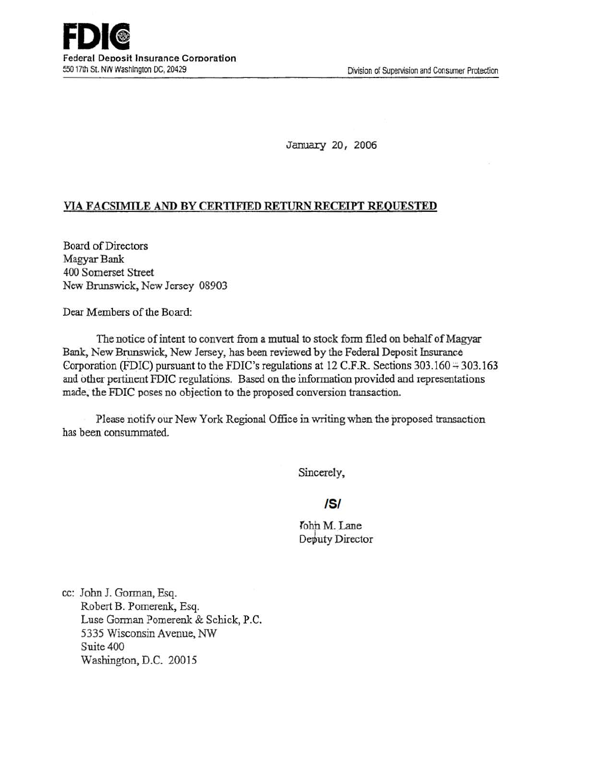January 20, 2006

## VIA FACSIMILE AND BY CERTIFIED RETURN RECEIPT REQUESTED

Board of Directors Magyar Bank 400 Somerset Street New Brunswick, New Jersey 08903

Dear Members of the Board:

The notice of intent to convert from a mutual to stock form filed on behalf of Magyar Bank, New Brunswick, New Jersey, has been reviewed by the Federal Deposit Insurance Corporation (FDIC) pursuant to the FDIC's regulations at 12 C.F.R. Sections  $303.160 \div 303.163$ and other pertinent FDIC regulations. Based on the information provided and representations made. the FDIC poses no objection to the proposed conversion transaction.

Please notify our New York Regional Office in writing when the proposed transaction has been consummated.

Sincerely,

## IS/

John M. Lane Deputy Director

cc: John J. Gorman, Esq. Robert B. Pomerenk, Esq. Luse Gorman Pomerenk & Schick, P.C. 5335 Wisconsin Avenue, NW Suite 400 Washington, D.C. 20015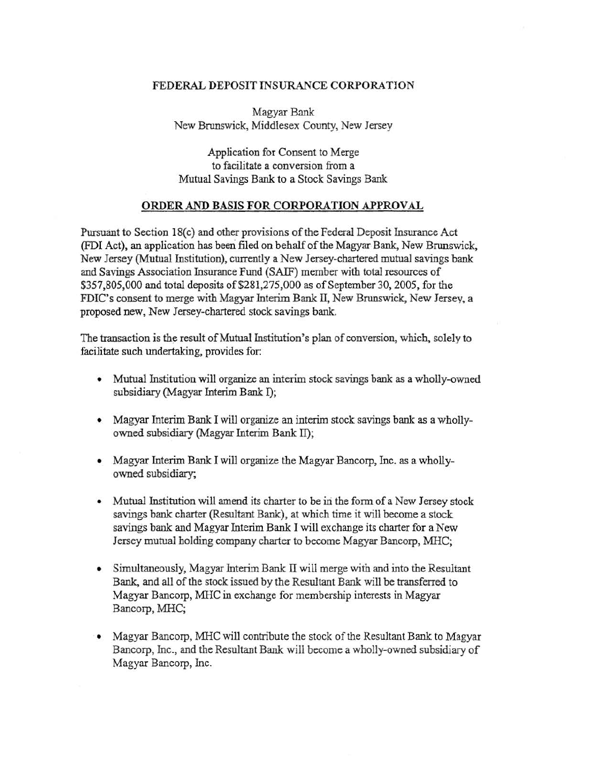## FEDERAL DEPOSIT INSURANCE CORPORATION

Magyar Bank New Brunswick, Middlesex County, New Jersey

Application for Consent to Merge to facilitate a conversion from a Mutual Savings Bank to a Stock Savings Bank

## ORDER AND BASIS FOR CORPORATION APPROVAL

Pursuant to Section 18(c) and other provisions of the Federal Deposit Insurance Act (FDI Act), an application has been filed on behalf of the Magyar Bank, New Brunswick, New Jersey (Mutual Institution), currently a New Jersey-chartered mutual savings bank and Savings Association Insurance Fund (SAIF) member with total resources of \$357,805,000 and total deposits of\$281,275,000 as of September 30,2005, for the FDIC's consent to merge with Magyar Interim Bank IT, New Brunswick, New Jersey, a proposed new, New Jersey-chartered stock savings bank.

The transaction is the result of Mutual Institution's plan of conversion, which. solely to facilitate such undertaking, provides for:

- Mutual Institution will organize an interim stock savings bank as a wholly-owned subsidiary (Magyar Interim Bank I);
- Magyar Interim Bank I will organize an interim stock savings bank as a whollyowned subsidiary (Magyar Interim Bank II);
- Magyar Interim Bank I will organize the Magyar Bancorp, Inc. as a whollyowned subsidiary;
- Mutual Institution will amend its charter to be in the form of a New Jersey stock savings bank charter (Resultant Bank), at which time it will become a stock savings bank and Magyar Interim Bank I will exchange its charter for a New Jersey mutual holding company charter to become Magyar Bancorp, MRC;
- Simultaneously, Magyar Interim Bank II will merge with and into the Resultant Bank, and all of the stock issued by the Resultant Bank will be transferred to Magyar Bancorp, MHC in exchange for membership interests in Magyar Bancorp, MHC;
- Magyar Bancorp, MHC will contribute the stock of the Resultant Bank to Magyar Bancorp, Inc., and the Resultant Bank will become a wholly-owned subsidiary of Magyar Bancorp, Inc.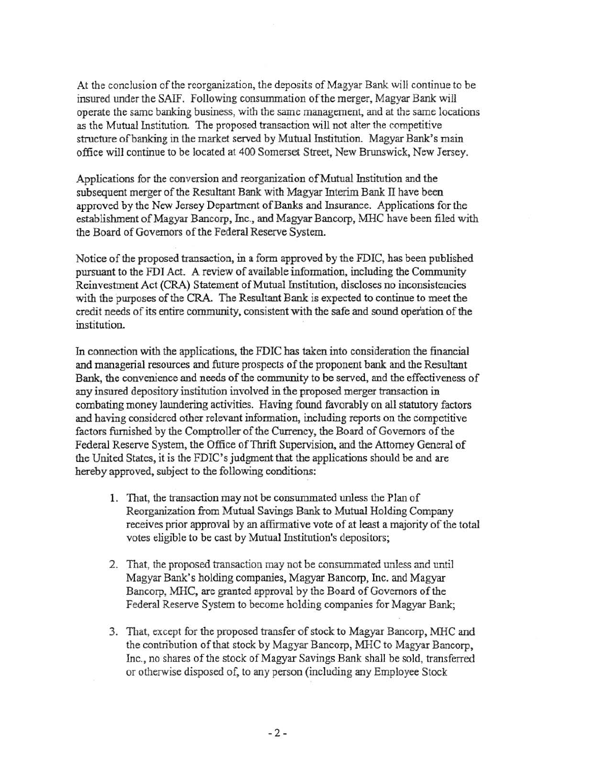At the conclusion of the reorganization, the deposits of Magyar Bank will continue to be insured under the SAIF. Following consummation of the merger, Magyar Bank will operate the same banking business, with the same management, and at the same locations as the Mutual Institution. The proposed transaction will not alter the competitive structure ofbanking in the market served by Mutual Institution. Magyar Bank's main office will continue to be located at 400 Somerset Street, New Brunswick, New Jersey.

Applications for the conversion and reorganization of Mutual Institution and the subsequent merger of the Resultant Bank with Magyar Interim Bank II have been approved by the New Jersey Department of Banks and Insurance. Applications for the establishment of Magyar Bancorp, Inc., and Magyar Bancorp, MHC have been filed with the Board of Governors of the Federal Reserve System.

Notice of the proposed transaction, in a form approved by the FDIC, has been published pursuant to the FDI Act. A review of available information, including the Community Reinvestment Act (CRA) Statement of Mutual Institution, discloses no inconsistencies with the purposes of the CRA. The Resultant Bank is expected to continue to meet the credit needs of its entire community, consistent with the safe and sound operation of the institution.

In connection with the applications, the FDIC has taken into consideration the financial and managerial resources and future prospects of the proponent bank and the Resultant Bank, the convenience and needs of the community to be served, and the effectiveness of any insured depository institution involved in the proposed merger transaction in combating money laundering activities. Having found favorably on all statutory factors and having considered other relevant information, including reports on the competitive factors furnished by the Comptroller of the Currency, the Board of Governors of the Federal Reserve System, the Office of Thrift Supervision, and the Attorney General of the United States, it is the FDIC's judgment that the applications should be and are hereby approved, subject to the following conditions:

- 1. That, the transaction may not be consummated unless the Plan of Reorganization from Mutual Savings Bank to Mutual Holding Company receives prior approval by an affirmative vote of at least a majority of the total votes eligible to be cast by Mutual Institution's depositors;
- 2. That, the proposed transaction may not be consummated unless and until Magyar Bank's holding companies, Magyar Bancorp, Inc. and Magyar Bancorp, MHC, are granted approval by the Board of Governors of the Federal Reserve System to become holding companies for Magyar Bank;
- 3. That, except for the proposed transfer of stock to Magyar Bancorp, MHC and the contribution of that stock by Magyar Bancorp, MHC to Magyar Bancorp, Inc., no shares of the stock of Magyar Savings Bank shall be sold, transferred or otherwise disposed of, to any person (including any Employee Stock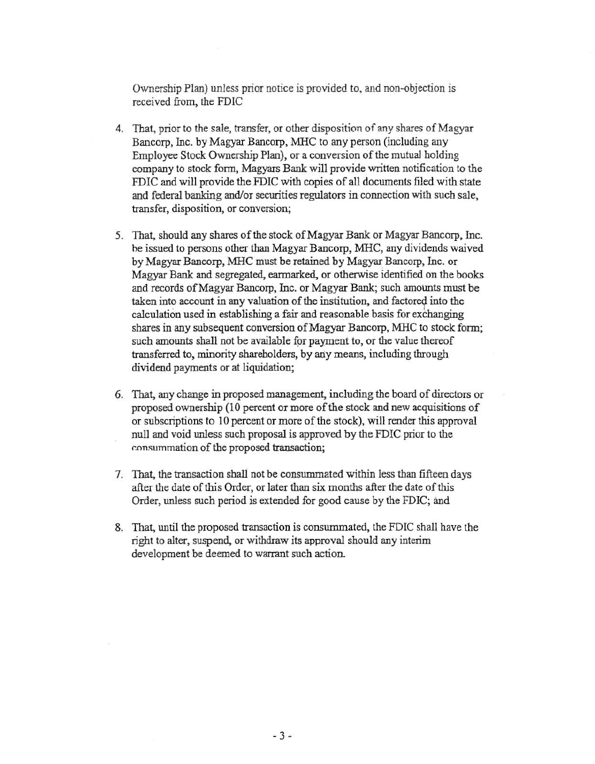Ownership Plan) unless prior notice is provided to, and non-objection is received from, the FDIC

- 4. That, prior to the sale, transfer, or other disposition of any shares of Magyar Bancorp, Inc. by Magyar Bancorp, MHC to any person (including any Employee Stock Ownership Plan), or a conversion of the mutual holding company to stock fonn, Magyars Bank will provide written notification to the FDIC and will provide the FDIC with copies of all documents filed with state and federal banking and/or securities regulators in connection with such sale, transfer, disposition, or conversion;
- 5. That, should any shares of the stock of Magyar Bank or Magyar Bancorp, Inc. he issued to persons other than Magyar Bancorp, MHC, any dividends waived by Magyar Bancorp, MHC must be retained by Magyar. Bancorp, Inc. or Magyar Bank and segregated, earmarked, or otherwise identified on the books and records of Magyar Bancorp, Inc. or Magyar Bank; such amounts must be taken into account in any valuation of the institution, and factored into the calculation used in establishing a fair and reasonable basis for exchanging shares in any subsequent conversion of Magyar Bancorp, MHC to stock form; such amounts shall not be available for payment to, or the value thereof transferred to, minority shareholders, by any means, including through dividend payments or at liquidation;
- 6. That, any change in proposed management, including the board of directors or proposed ownership (10 percent or more of the stock and new acquisitions of or subscriptions to 10 percent or more of the stock), will render this approval null and void unless such proposal is approved by the FDIC prior to the r.onsummation of the proposed transaction;
- 7. That, the transaction shall not be consummated within less than fifteen days after the date of this Order, or later than six months after the date of this Order, unless such period is extended for good cause by the FDIC; and
- 8. That, until the proposed transaction is consummated, the FDIC shall have the right to alter, suspend, or withdraw its approval should any interim development be deemed to warrant such action.